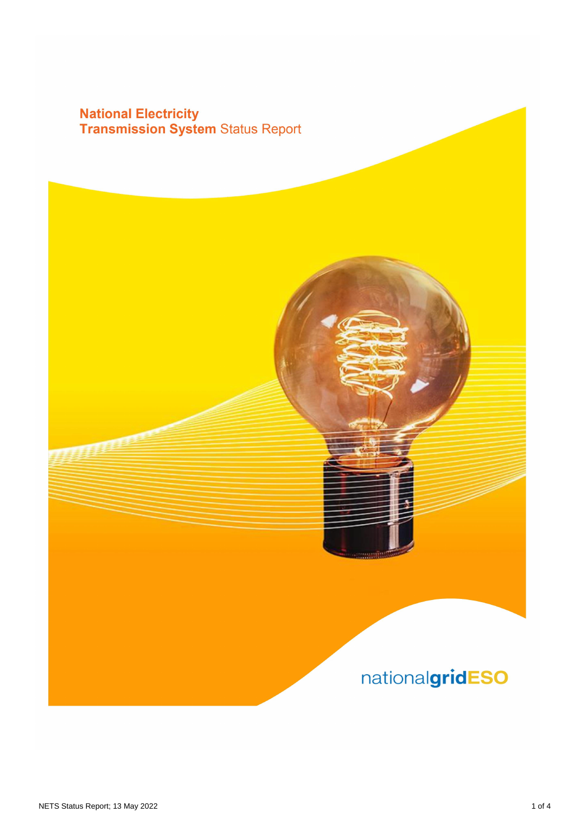## **National Electricity<br>Transmission System Status Report**

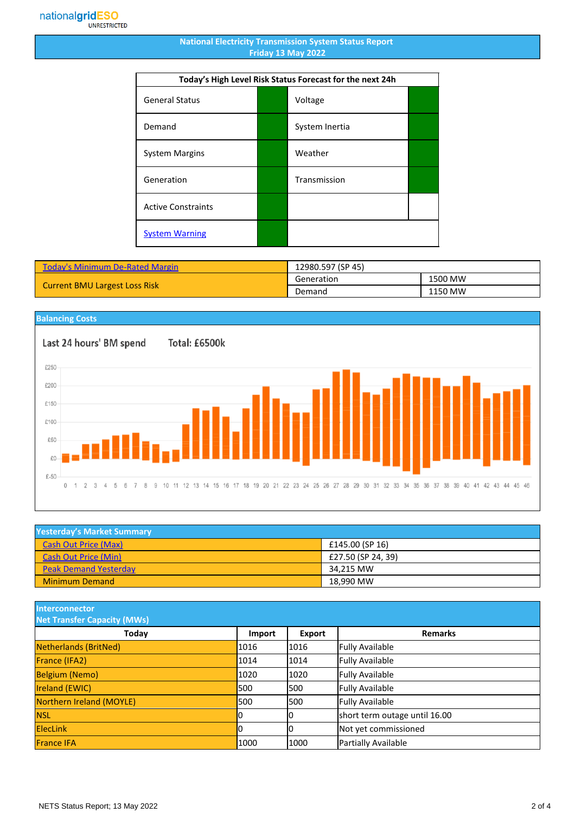## **National Electricity Transmission System Status Report Friday 13 May 2022**

| Today's High Level Risk Status Forecast for the next 24h |  |                |  |
|----------------------------------------------------------|--|----------------|--|
| <b>General Status</b>                                    |  | Voltage        |  |
| Demand                                                   |  | System Inertia |  |
| <b>System Margins</b>                                    |  | Weather        |  |
| Generation                                               |  | Transmission   |  |
| <b>Active Constraints</b>                                |  |                |  |
| <b>System Warning</b>                                    |  |                |  |

| <b>Today's Minimum De-Rated Margin</b> | 12980.597 (SP 45) |         |
|----------------------------------------|-------------------|---------|
| <b>Current BMU Largest Loss Risk</b>   | Generation        | 1500 MW |
|                                        | Demand            | 1150 MW |

## **Balancing Costs**

Last 24 hours' BM spend Total: £6500k £250 £200 £150 £100 £50 £0 £-50  $0 \t 1 \t 2 \t 3 \t 4$ 5  $_{\rm 6}$ 8 9 10 11 12 13 14 15 16 17 18 19 20 21 22 23 24 25 26 27 28 29 30 31 32 33 34 35 36 37 38 39 40 41 42 43 44 45 46  $\overline{7}$ 

| <b>Yesterday's Market Summary</b> |                    |  |
|-----------------------------------|--------------------|--|
| <b>Cash Out Price (Max)</b>       | £145.00 (SP 16)    |  |
| <b>Cash Out Price (Min)</b>       | £27.50 (SP 24, 39) |  |
| <b>Peak Demand Yesterday</b>      | 34.215 MW          |  |
| <b>Minimum Demand</b>             | 18.990 MW          |  |

**Interconnector**

| <b>Net Transfer Capacity (MWs)</b> |        |        |                               |
|------------------------------------|--------|--------|-------------------------------|
| Today                              | Import | Export | <b>Remarks</b>                |
| Netherlands (BritNed)              | 1016   | 1016   | <b>Fully Available</b>        |
| France (IFA2)                      | 1014   | 1014   | <b>Fully Available</b>        |
| <b>Belgium (Nemo)</b>              | 1020   | 1020   | <b>Fully Available</b>        |
| <b>Ireland (EWIC)</b>              | 500    | 1500   | <b>Fully Available</b>        |
| Northern Ireland (MOYLE)           | 500    | 1500   | <b>Fully Available</b>        |
| <b>NSL</b>                         | 10     | IО     | short term outage until 16.00 |
| <b>ElecLink</b>                    |        | 10     | Not yet commissioned          |
| <b>France IFA</b>                  | 1000   | 1000   | Partially Available           |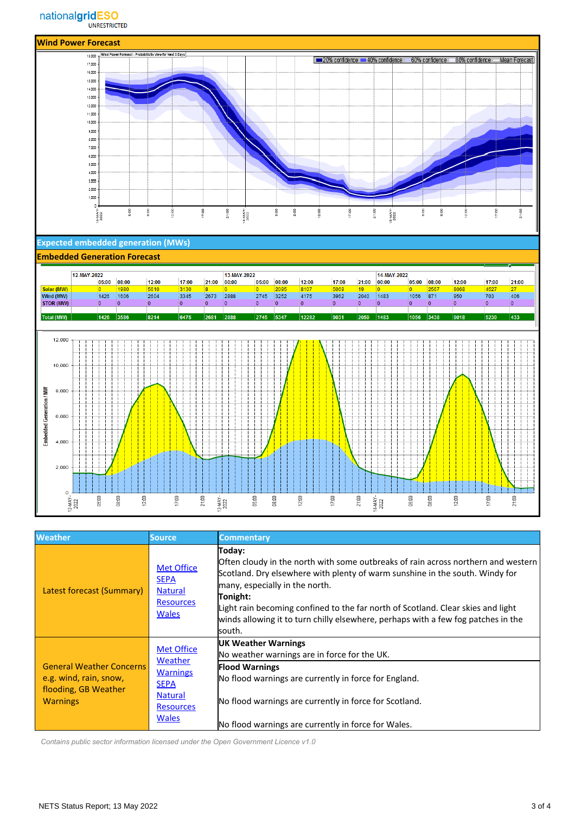

| <b>Weather</b>                                                                                       | Source,                                                                                                              | <b>Commentary</b>                                                                                                                                                                                                                                                                                                                                                                                            |
|------------------------------------------------------------------------------------------------------|----------------------------------------------------------------------------------------------------------------------|--------------------------------------------------------------------------------------------------------------------------------------------------------------------------------------------------------------------------------------------------------------------------------------------------------------------------------------------------------------------------------------------------------------|
| <b>Latest forecast (Summary)</b>                                                                     | <b>Met Office</b><br><b>SEPA</b><br><b>Natural</b><br><b>Resources</b><br><b>Wales</b>                               | Today:<br>Often cloudy in the north with some outbreaks of rain across northern and western<br>Scotland. Dry elsewhere with plenty of warm sunshine in the south. Windy for<br>many, especially in the north.<br>Tonight:<br>Light rain becoming confined to the far north of Scotland. Clear skies and light<br>winds allowing it to turn chilly elsewhere, perhaps with a few fog patches in the<br>south. |
| <b>General Weather Concerns</b><br>e.g. wind, rain, snow,<br>flooding, GB Weather<br><b>Warnings</b> | <b>Met Office</b><br>Weather<br><b>Warnings</b><br><b>SEPA</b><br><b>Natural</b><br><b>Resources</b><br><b>Wales</b> | <b>UK Weather Warnings</b><br>No weather warnings are in force for the UK.<br><b>Flood Warnings</b><br>No flood warnings are currently in force for England.<br>No flood warnings are currently in force for Scotland.<br>No flood warnings are currently in force for Wales.                                                                                                                                |

 *Contains public sector information licensed under the Open Government Licence v1.0*